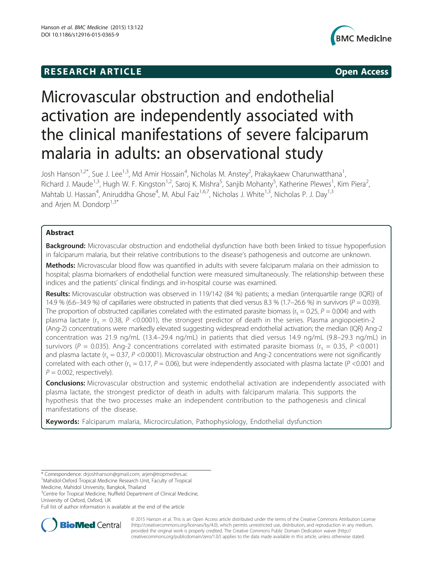## **RESEARCH ARTICLE Example 2014 The SEAR CH ACCESS**



# Microvascular obstruction and endothelial activation are independently associated with the clinical manifestations of severe falciparum malaria in adults: an observational study

Josh Hanson<sup>1,2\*</sup>, Sue J. Lee<sup>1,3</sup>, Md Amir Hossain<sup>4</sup>, Nicholas M. Anstey<sup>2</sup>, Prakaykaew Charunwatthana<sup>1</sup> , Richard J. Maude<sup>1,3</sup>, Hugh W. F. Kingston<sup>1,2</sup>, Saroj K. Mishra<sup>5</sup>, Sanjib Mohanty<sup>5</sup>, Katherine Plewes<sup>1</sup>, Kim Piera<sup>2</sup> , Mahtab U. Hassan<sup>4</sup>, Aniruddha Ghose<sup>4</sup>, M. Abul Faiz<sup>1,6,7</sup>, Nicholas J. White<sup>1,3</sup>, Nicholas P. J. Day<sup>1,3</sup> and Arjen M. Dondorp<sup>1,3\*</sup>

## Abstract

Background: Microvascular obstruction and endothelial dysfunction have both been linked to tissue hypoperfusion in falciparum malaria, but their relative contributions to the disease's pathogenesis and outcome are unknown.

Methods: Microvascular blood flow was quantified in adults with severe falciparum malaria on their admission to hospital; plasma biomarkers of endothelial function were measured simultaneously. The relationship between these indices and the patients' clinical findings and in-hospital course was examined.

Results: Microvascular obstruction was observed in 119/142 (84 %) patients; a median (interquartile range (IQR)) of 14.9 % (6.6–34.9 %) of capillaries were obstructed in patients that died versus 8.3 % (1.7–26.6 %) in survivors ( $P = 0.039$ ). The proportion of obstructed capillaries correlated with the estimated parasite biomass ( $r_s = 0.25$ ,  $P = 0.004$ ) and with plasma lactate ( $r_s = 0.38$ , P <0.0001), the strongest predictor of death in the series. Plasma angiopoietin-2 (Ang-2) concentrations were markedly elevated suggesting widespread endothelial activation; the median (IQR) Ang-2 concentration was 21.9 ng/mL (13.4–29.4 ng/mL) in patients that died versus 14.9 ng/mL (9.8–29.3 ng/mL) in survivors ( $P = 0.035$ ). Ang-2 concentrations correlated with estimated parasite biomass ( $r_s = 0.35$ , P <0.001) and plasma lactate ( $r_s = 0.37$ , P <0.0001). Microvascular obstruction and Ang-2 concentrations were not significantly correlated with each other ( $r_s = 0.17$ ,  $P = 0.06$ ), but were independently associated with plasma lactate ( $P < 0.001$  and  $P = 0.002$ , respectively).

**Conclusions:** Microvascular obstruction and systemic endothelial activation are independently associated with plasma lactate, the strongest predictor of death in adults with falciparum malaria. This supports the hypothesis that the two processes make an independent contribution to the pathogenesis and clinical manifestations of the disease.

Keywords: Falciparum malaria, Microcirculation, Pathophysiology, Endothelial dysfunction

<sup>1</sup>Mahidol-Oxford Tropical Medicine Research Unit, Faculty of Tropical

Medicine, Mahidol University, Bangkok, Thailand

<sup>3</sup>Centre for Tropical Medicine, Nuffield Department of Clinical Medicine, University of Oxford, Oxford, UK

Full list of author information is available at the end of the article



© 2015 Hanson et al. This is an Open Access article distributed under the terms of the Creative Commons Attribution License [\(http://creativecommons.org/licenses/by/4.0\)](http://creativecommons.org/licenses/by/4.0), which permits unrestricted use, distribution, and reproduction in any medium, provided the original work is properly credited. The Creative Commons Public Domain Dedication waiver [\(http://](http://creativecommons.org/publicdomain/zero/1.0/) [creativecommons.org/publicdomain/zero/1.0/\)](http://creativecommons.org/publicdomain/zero/1.0/) applies to the data made available in this article, unless otherwise stated.

<sup>\*</sup> Correspondence: [drjoshhanson@gmail.com;](mailto:drjoshhanson@gmail.com) [arjen@tropmedres.ac](mailto:arjen@tropmedres.ac) <sup>1</sup>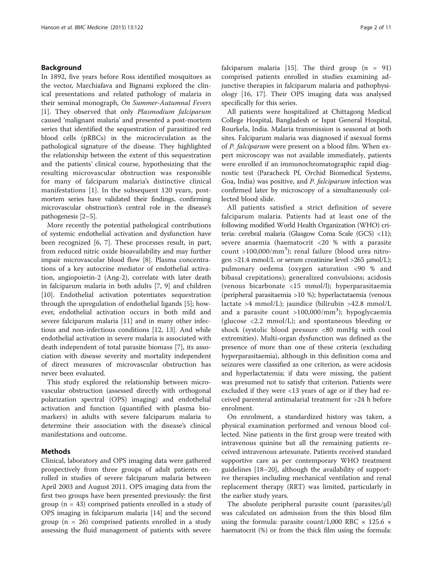## Background

In 1892, five years before Ross identified mosquitoes as the vector, Marchiafava and Bignami explored the clinical presentations and related pathology of malaria in their seminal monograph, On Summer-Autumnal Fevers [[1\]](#page-8-0). They observed that only Plasmodium falciparum caused 'malignant malaria' and presented a post-mortem series that identified the sequestration of parasitized red blood cells (pRBCs) in the microcirculation as the pathological signature of the disease. They highlighted the relationship between the extent of this sequestration and the patients' clinical course, hypothesizing that the resulting microvascular obstruction was responsible for many of falciparum malaria's distinctive clinical manifestations [\[1](#page-8-0)]. In the subsequent 120 years, postmortem series have validated their findings, confirming microvascular obstruction's central role in the disease's pathogenesis [[2](#page-8-0)–[5](#page-9-0)].

More recently the potential pathological contributions of systemic endothelial activation and dysfunction have been recognized [\[6](#page-9-0), [7\]](#page-9-0). These processes result, in part, from reduced nitric oxide bioavailability and may further impair microvascular blood flow [[8](#page-9-0)]. Plasma concentrations of a key autocrine mediator of endothelial activation, angiopoietin-2 (Ang-2), correlate with later death in falciparum malaria in both adults [\[7](#page-9-0), [9](#page-9-0)] and children [[10\]](#page-9-0). Endothelial activation potentiates sequestration through the upregulation of endothelial ligands [[5](#page-9-0)]; however, endothelial activation occurs in both mild and severe falciparum malaria [[11](#page-9-0)] and in many other infectious and non-infectious conditions [\[12](#page-9-0), [13](#page-9-0)]. And while endothelial activation in severe malaria is associated with death independent of total parasite biomass [[7](#page-9-0)], its association with disease severity and mortality independent of direct measures of microvascular obstruction has never been evaluated.

This study explored the relationship between microvascular obstruction (assessed directly with orthogonal polarization spectral (OPS) imaging) and endothelial activation and function (quantified with plasma biomarkers) in adults with severe falciparum malaria to determine their association with the disease's clinical manifestations and outcome.

## Methods

Clinical, laboratory and OPS imaging data were gathered prospectively from three groups of adult patients enrolled in studies of severe falciparum malaria between April 2003 and August 2011. OPS imaging data from the first two groups have been presented previously: the first group ( $n = 43$ ) comprised patients enrolled in a study of OPS imaging in falciparum malaria [\[14](#page-9-0)] and the second group ( $n = 26$ ) comprised patients enrolled in a study assessing the fluid management of patients with severe falciparum malaria [\[15](#page-9-0)]. The third group  $(n = 91)$ comprised patients enrolled in studies examining adjunctive therapies in falciparum malaria and pathophysiology [[16, 17\]](#page-9-0). Their OPS imaging data was analysed specifically for this series.

All patients were hospitalized at Chittagong Medical College Hospital, Bangladesh or Ispat General Hospital, Rourkela, India. Malaria transmission is seasonal at both sites. Falciparum malaria was diagnosed if asexual forms of P. falciparum were present on a blood film. When expert microscopy was not available immediately, patients were enrolled if an immunochromatographic rapid diagnostic test (Paracheck Pf, Orchid Biomedical Systems, Goa, India) was positive, and P. falciparum infection was confirmed later by microscopy of a simultaneously collected blood slide.

All patients satisfied a strict definition of severe falciparum malaria. Patients had at least one of the following modified World Health Organization (WHO) criteria: cerebral malaria (Glasgow Coma Scale (GCS) <11); severe anaemia (haematocrit <20 % with a parasite count >100,000/mm<sup>3</sup>); renal failure (blood urea nitrogen >21.4 mmol/L or serum creatinine level >265 μmol/L); pulmonary oedema (oxygen saturation <90 % and bibasal crepitations); generalized convulsions; acidosis (venous bicarbonate <15 mmol/l); hyperparasitaemia (peripheral parasitaemia >10 %); hyperlactataemia (venous lactate >4 mmol/L); jaundice (bilirubin >42.8 mmol/L and a parasite count >100,000/mm<sup>3</sup>); hypoglycaemia (glucose <2.2 mmol/L); and spontaneous bleeding or shock (systolic blood pressure <80 mmHg with cool extremities). Multi-organ dysfunction was defined as the presence of more than one of these criteria (excluding hyperparasitaemia), although in this definition coma and seizures were classified as one criterion, as were acidosis and hyperlactatemia; if data were missing, the patient was presumed not to satisfy that criterion. Patients were excluded if they were <13 years of age or if they had received parenteral antimalarial treatment for >24 h before enrolment.

On enrolment, a standardized history was taken, a physical examination performed and venous blood collected. Nine patients in the first group were treated with intravenous quinine but all the remaining patients received intravenous artesunate. Patients received standard supportive care as per contemporary WHO treatment guidelines [[18](#page-9-0)–[20](#page-9-0)], although the availability of supportive therapies including mechanical ventilation and renal replacement therapy (RRT) was limited, particularly in the earlier study years.

The absolute peripheral parasite count (parasites/ $\mu$ l) was calculated on admission from the thin blood film using the formula: parasite count/1,000 RBC  $\times$  125.6  $\times$ haematocrit (%) or from the thick film using the formula: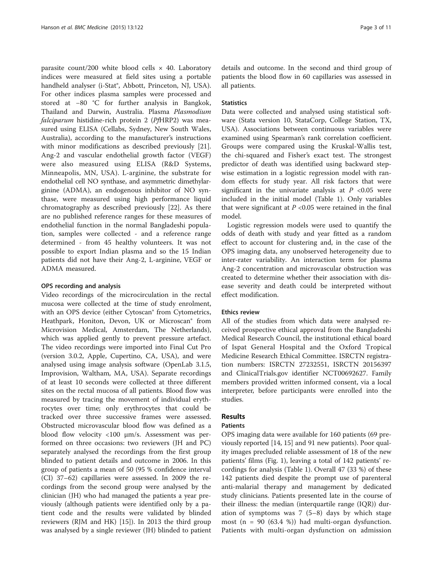parasite count/200 white blood cells  $\times$  40. Laboratory indices were measured at field sites using a portable handheld analyser (i-Stat®, Abbott, Princeton, NJ, USA). For other indices plasma samples were processed and stored at −80 °C for further analysis in Bangkok, Thailand and Darwin, Australia. Plasma Plasmodium falciparum histidine-rich protein 2 (PfHRP2) was measured using ELISA (Cellabs, Sydney, New South Wales, Australia), according to the manufacturer's instructions with minor modifications as described previously [\[21](#page-9-0)]. Ang-2 and vascular endothelial growth factor (VEGF) were also measured using ELISA (R&D Systems, Minneapolis, MN, USA). L-arginine, the substrate for endothelial cell NO synthase, and asymmetric dimethylarginine (ADMA), an endogenous inhibitor of NO synthase, were measured using high performance liquid chromatography as described previously [\[22](#page-9-0)]. As there are no published reference ranges for these measures of endothelial function in the normal Bangladeshi population, samples were collected - and a reference range determined - from 45 healthy volunteers. It was not possible to export Indian plasma and so the 15 Indian patients did not have their Ang-2, L-arginine, VEGF or ADMA measured.

#### OPS recording and analysis

Video recordings of the microcirculation in the rectal mucosa were collected at the time of study enrolment, with an OPS device (either Cytoscan® from Cytometrics, Heathpark, Honiton, Devon, UK or Microscan® from Microvision Medical, Amsterdam, The Netherlands), which was applied gently to prevent pressure artefact. The video recordings were imported into Final Cut Pro (version 3.0.2, Apple, Cupertino, CA, USA), and were analysed using image analysis software (OpenLab 3.1.5, Improvision, Waltham, MA, USA). Separate recordings of at least 10 seconds were collected at three different sites on the rectal mucosa of all patients. Blood flow was measured by tracing the movement of individual erythrocytes over time; only erythrocytes that could be tracked over three successive frames were assessed. Obstructed microvascular blood flow was defined as a blood flow velocity <100 μm/s. Assessment was performed on three occasions: two reviewers (JH and PC) separately analysed the recordings from the first group blinded to patient details and outcome in 2006. In this group of patients a mean of 50 (95 % confidence interval (CI) 37–62) capillaries were assessed. In 2009 the recordings from the second group were analysed by the clinician (JH) who had managed the patients a year previously (although patients were identified only by a patient code and the results were validated by blinded reviewers (RJM and HK) [[15](#page-9-0)]). In 2013 the third group was analysed by a single reviewer (JH) blinded to patient

details and outcome. In the second and third group of patients the blood flow in 60 capillaries was assessed in all patients.

#### **Statistics**

Data were collected and analysed using statistical software (Stata version 10, StataCorp, College Station, TX, USA). Associations between continuous variables were examined using Spearman's rank correlation coefficient. Groups were compared using the Kruskal-Wallis test, the chi-squared and Fisher's exact test. The strongest predictor of death was identified using backward stepwise estimation in a logistic regression model with random effects for study year. All risk factors that were significant in the univariate analysis at  $P < 0.05$  were included in the initial model (Table [1](#page-3-0)). Only variables that were significant at  $P < 0.05$  were retained in the final model.

Logistic regression models were used to quantify the odds of death with study and year fitted as a random effect to account for clustering and, in the case of the OPS imaging data, any unobserved heterogeneity due to inter-rater variability. An interaction term for plasma Ang-2 concentration and microvascular obstruction was created to determine whether their association with disease severity and death could be interpreted without effect modification.

## Ethics review

All of the studies from which data were analysed received prospective ethical approval from the Bangladeshi Medical Research Council, the institutional ethical board of Ispat General Hospital and the Oxford Tropical Medicine Research Ethical Committee. ISRCTN registration numbers: ISRCTN 27232551, ISRCTN 20156397 and ClinicalTrials.gov identifier NCT00692627. Family members provided written informed consent, via a local interpreter, before participants were enrolled into the studies.

## Results

## Patients

OPS imaging data were available for 160 patients (69 previously reported [[14, 15](#page-9-0)] and 91 new patients). Poor quality images precluded reliable assessment of 18 of the new patients' films (Fig. [1\)](#page-4-0), leaving a total of 142 patients' recordings for analysis (Table [1](#page-3-0)). Overall 47 (33 %) of these 142 patients died despite the prompt use of parenteral anti-malarial therapy and management by dedicated study clinicians. Patients presented late in the course of their illness: the median (interquartile range (IQR)) duration of symptoms was  $7(5-8)$  days by which stage most  $(n = 90 (63.4 %))$  had multi-organ dysfunction. Patients with multi-organ dysfunction on admission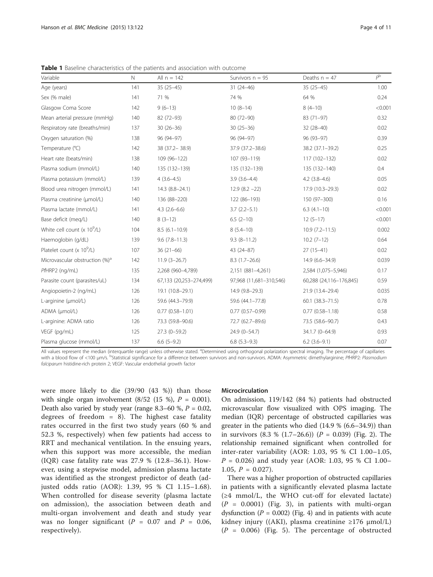<span id="page-3-0"></span>Table 1 Baseline characteristics of the patients and association with outcome

| Variable                                   | $\mathbb N$ | All $n = 142$           | Survivors $n = 95$      | Deaths $n = 47$         | p <sup>b</sup> |
|--------------------------------------------|-------------|-------------------------|-------------------------|-------------------------|----------------|
| Age (years)                                | 141         | $35(25-45)$             | $31(24-46)$             | $35(25-45)$             | 1.00           |
| Sex (% male)                               | 141         | 71 %                    | 74 %                    | 64 %                    | 0.24           |
| Glasgow Coma Score                         | 142         | $9(6-13)$               | $10(8-14)$              | $8(4-10)$               | < 0.001        |
| Mean arterial pressure (mmHg)              | 140         | 82 (72-93)              | 80 (72-90)              | $83(71-97)$             | 0.32           |
| Respiratory rate (breaths/min)             | 137         | $30(26-36)$             | $30(25 - 36)$           | $32(28 - 40)$           | 0.02           |
| Oxygen saturation (%)                      | 138         | 96 (94-97)              | 96 (94-97)              | 96 (93-97)              | 0.39           |
| Temperature (°C)                           | 142         | 38 (37.2 - 38.9)        | 37.9 (37.2-38.6)        | 38.2 (37.1-39.2)        | 0.25           |
| Heart rate (beats/min)                     | 138         | 109 (96-122)            | 107 (93-119)            | 117 (102-132)           | 0.02           |
| Plasma sodium (mmol/L)                     | 140         | 135 (132-139)           | 135 (132-139)           | 135 (132-140)           | 0.4            |
| Plasma potassium (mmol/L)                  | 139         | $4(3.6-4.5)$            | $3.9(3.6 - 4.4)$        | $4.2$ $(3.8-4.6)$       | 0.05           |
| Blood urea nitrogen (mmol/L)               | 141         | 14.3 (8.8-24.1)         | $12.9(8.2 - 22)$        | 17.9 (10.3-29.3)        | 0.02           |
| Plasma creatinine (µmol/L)                 | 140         | 136 (88-220)            | 122 (86-193)            | 150 (97-300)            | 0.16           |
| Plasma lactate (mmol/L)                    | 141         | $4.3(2.6-6.6)$          | $3.7(2.2-5.1)$          | $6.3(4.1-10)$           | < 0.001        |
| Base deficit (meg/L)                       | 140         | $8(3-12)$               | $6.5(2-10)$             | $12(5-17)$              | < 0.001        |
| White cell count (x 10 <sup>9</sup> /L)    | 104         | $8.5(6.1-10.9)$         | $8(5.4 - 10)$           | $10.9(7.2 - 11.5)$      | 0.002          |
| Haemoglobin (g/dL)                         | 139         | $9.6(7.8 - 11.3)$       | $9.3(8-11.2)$           | $10.2(7-12)$            | 0.64           |
| Platelet count $(x 10^9/L)$                | 107         | $36(21-66)$             | $43(24-87)$             | $27(15-41)$             | 0.02           |
| Microvascular obstruction (%) <sup>a</sup> | 142         | $11.9(3 - 26.7)$        | $8.3(1.7-26.6)$         | 14.9 (6.6-34.9)         | 0.039          |
| PfHRP2 (ng/mL)                             | 135         | 2,268 (960-4,789)       | 2,151 (881-4,261)       | 2,584 (1,075-5,946)     | 0.17           |
| Parasite count (parasites/uL)              | 134         | 67,133 (20,253-274,499) | 97,968 (11,681-310,546) | 60,288 (24,116-176,845) | 0.59           |
| Angiopoietin-2 (ng/mL)                     | 126         | 19.1 (10.8-29.1)        | 14.9 (9.8-29.3)         | 21.9 (13.4-29.4)        | 0.035          |
| L-arginine (µmol/L)                        | 126         | 59.6 (44.3-79.9)        | 59.6 (44.1-77.8)        | $60.1$ $(38.3 - 71.5)$  | 0.78           |
| ADMA (µmol/L)                              | 126         | $0.77(0.58 - 1.01)$     | $0.77(0.57-0.99)$       | $0.77(0.58 - 1.18)$     | 0.58           |
| L-arginine: ADMA ratio                     | 126         | 73.3 (59.8-90.6)        | 72.7 (62.7-89.6)        | 73.5 (58.6-90.7)        | 0.43           |
| VEGF (pg/mL)                               | 125         | $27.3(0-59.2)$          | 24.9 (0-54.7)           | 34.1.7 (0-64.9)         | 0.93           |
| Plasma glucose (mmol/L)                    | 137         | $6.6(5-9.2)$            | $6.8$ $(5.3-9.3)$       | $6.2$ (3.6-9.1)         | 0.07           |

All values represent the median (interquartile range) unless otherwise stated. <sup>a</sup>Determined using orthogonal polarization spectral imaging. The percentage of capillaries with a blood flow of <100 μm/s. <sup>b</sup>Statistical significance for a difference between survivors and non-survivors. ADMA: Asymmetric dimethylarginine; PfHRP2: Plasmodium falciparum histidine-rich protein 2; VEGF: Vascular endothelial growth factor

were more likely to die (39/90 (43 %)) than those with single organ involvement  $(8/52 \ (15 \ \%)$ ,  $P = 0.001$ ). Death also varied by study year (range  $8.3-60$  %,  $P = 0.02$ , degrees of freedom  $= 8$ ). The highest case fatality rates occurred in the first two study years (60 % and 52.3 %, respectively) when few patients had access to RRT and mechanical ventilation. In the ensuing years, when this support was more accessible, the median (IQR) case fatality rate was 27.9 % (12.8–36.1). However, using a stepwise model, admission plasma lactate was identified as the strongest predictor of death (adjusted odds ratio (AOR): 1.39, 95 % CI 1.15–1.68). When controlled for disease severity (plasma lactate on admission), the association between death and multi-organ involvement and death and study year was no longer significant ( $P = 0.07$  and  $P = 0.06$ , respectively).

#### Microcirculation

On admission, 119/142 (84 %) patients had obstructed microvascular flow visualized with OPS imaging. The median (IQR) percentage of obstructed capillaries was greater in the patients who died (14.9 % (6.6–34.9)) than in survivors  $(8.3 \% (1.7–26.6))$   $(P = 0.039)$  (Fig. [2](#page-4-0)). The relationship remained significant when controlled for inter-rater variability (AOR: 1.03, 95 % CI 1.00–1.05,  $P = 0.026$ ) and study year (AOR: 1.03, 95 % CI 1.00– 1.05,  $P = 0.027$ ).

There was a higher proportion of obstructed capillaries in patients with a significantly elevated plasma lactate  $(\geq 4 \text{ mmol/L}, \text{ the WHO cut-off for elevated lactate})$  $(P = 0.0001)$  (Fig. [3](#page-5-0)), in patients with multi-organ dysfunction ( $P = 0.002$ ) (Fig. [4](#page-5-0)) and in patients with acute kidney injury ((AKI), plasma creatinine  $\geq$ 176  $\mu$ mol/L)  $(P = 0.006)$  (Fig. [5](#page-6-0)). The percentage of obstructed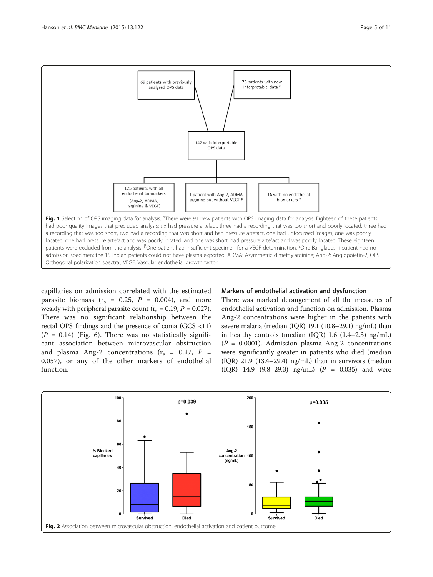<span id="page-4-0"></span>

capillaries on admission correlated with the estimated parasite biomass ( $r_s = 0.25$ ,  $P = 0.004$ ), and more weakly with peripheral parasite count  $(r_s = 0.19, P = 0.027)$ . There was no significant relationship between the rectal OPS findings and the presence of coma (GCS <11)  $(P = 0.14)$  (Fig. [6](#page-6-0)). There was no statistically significant association between microvascular obstruction and plasma Ang-2 concentrations ( $r_s = 0.17$ ,  $P =$ 0.057), or any of the other markers of endothelial function.

## Markers of endothelial activation and dysfunction

There was marked derangement of all the measures of endothelial activation and function on admission. Plasma Ang-2 concentrations were higher in the patients with severe malaria (median (IQR) 19.1 (10.8–29.1) ng/mL) than in healthy controls (median (IQR) 1.6 (1.4–2.3) ng/mL)  $(P = 0.0001)$ . Admission plasma Ang-2 concentrations were significantly greater in patients who died (median (IQR) 21.9 (13.4–29.4) ng/mL) than in survivors (median  $(IQR)$  14.9  $(9.8-29.3)$  ng/mL)  $(P = 0.035)$  and were

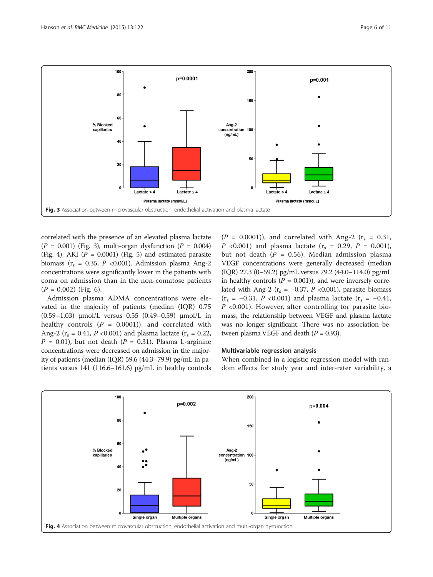<span id="page-5-0"></span>

correlated with the presence of an elevated plasma lactate  $(P = 0.001)$  (Fig. 3), multi-organ dysfunction  $(P = 0.004)$ (Fig. 4), AKI ( $P = 0.0001$ ) (Fig. [5](#page-6-0)) and estimated parasite biomass ( $r_s = 0.35$ ,  $P < 0.001$ ). Admission plasma Ang-2 concentrations were significantly lower in the patients with coma on admission than in the non-comatose patients  $(P = 0.002)$  (Fig. [6\)](#page-6-0).

Admission plasma ADMA concentrations were elevated in the majority of patients (median (IQR) 0.75 (0.59–1.03) μmol/L versus 0.55 (0.49–0.59) μmol/L in healthy controls  $(P = 0.0001)$ , and correlated with Ang-2 ( $r_s$  = 0.41, *P* <0.001) and plasma lactate ( $r_s$  = 0.22,  $P = 0.01$ , but not death ( $P = 0.31$ ). Plasma L-arginine concentrations were decreased on admission in the majority of patients (median (IQR) 59.6 (44.3–79.9) pg/mL in patients versus 141 (116.6–161.6) pg/mL in healthy controls

 $(P = 0.0001)$ ), and correlated with Ang-2 ( $r_s = 0.31$ ,  $P$  <0.001) and plasma lactate ( $r_s = 0.29$ ,  $P = 0.001$ ), but not death ( $P = 0.56$ ). Median admission plasma VEGF concentrations were generally decreased (median (IQR) 27.3 (0–59.2) pg/mL versus 79.2 (44.0–114.0) pg/mL in healthy controls  $(P = 0.001)$ ), and were inversely correlated with Ang-2 ( $r_s = -0.37$ ,  $P < 0.001$ ), parasite biomass  $(r_s = -0.31, P < 0.001)$  and plasma lactate  $(r_s = -0.41,$  $P$  <0.001). However, after controlling for parasite biomass, the relationship between VEGF and plasma lactate was no longer significant. There was no association between plasma VEGF and death  $(P = 0.93)$ .

## Multivariable regression analysis

When combined in a logistic regression model with random effects for study year and inter-rater variability, a

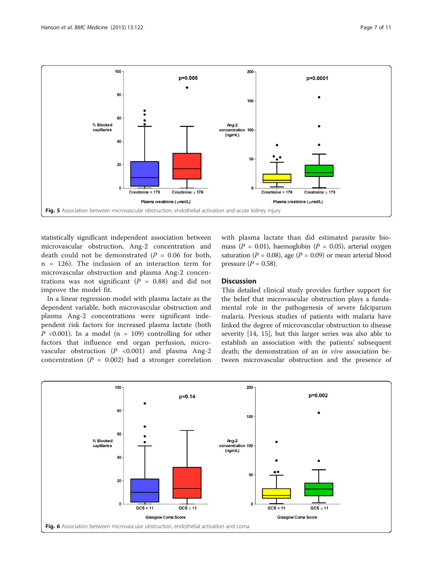<span id="page-6-0"></span>

statistically significant independent association between microvascular obstruction, Ang-2 concentration and death could not be demonstrated  $(P = 0.06$  for both, n = 126). The inclusion of an interaction term for microvascular obstruction and plasma Ang-2 concentrations was not significant ( $P = 0.88$ ) and did not improve the model fit.

In a linear regression model with plasma lactate as the dependent variable, both microvascular obstruction and plasma Ang-2 concentrations were significant independent risk factors for increased plasma lactate (both  $P \le 0.001$ ). In a model (n = 109) controlling for other factors that influence end organ perfusion, microvascular obstruction  $(P \le 0.001)$  and plasma Ang-2 concentration ( $P = 0.002$ ) had a stronger correlation with plasma lactate than did estimated parasite biomass ( $P = 0.01$ ), haemoglobin ( $P = 0.05$ ), arterial oxygen saturation ( $P = 0.08$ ), age ( $P = 0.09$ ) or mean arterial blood pressure  $(P = 0.58)$ .

## **Discussion**

This detailed clinical study provides further support for the belief that microvascular obstruction plays a fundamental role in the pathogenesis of severe falciparum malaria. Previous studies of patients with malaria have linked the degree of microvascular obstruction to disease severity [\[14, 15](#page-9-0)], but this larger series was also able to establish an association with the patients' subsequent death; the demonstration of an in vivo association between microvascular obstruction and the presence of

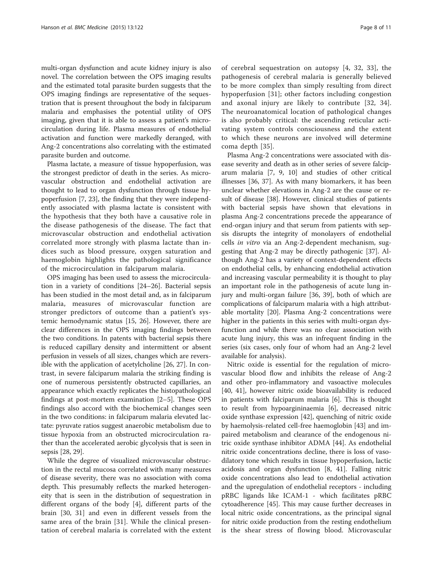multi-organ dysfunction and acute kidney injury is also novel. The correlation between the OPS imaging results and the estimated total parasite burden suggests that the OPS imaging findings are representative of the sequestration that is present throughout the body in falciparum malaria and emphasises the potential utility of OPS imaging, given that it is able to assess a patient's microcirculation during life. Plasma measures of endothelial activation and function were markedly deranged, with Ang-2 concentrations also correlating with the estimated parasite burden and outcome.

Plasma lactate, a measure of tissue hypoperfusion, was the strongest predictor of death in the series. As microvascular obstruction and endothelial activation are thought to lead to organ dysfunction through tissue hypoperfusion [[7](#page-9-0), [23](#page-9-0)], the finding that they were independently associated with plasma lactate is consistent with the hypothesis that they both have a causative role in the disease pathogenesis of the disease. The fact that microvascular obstruction and endothelial activation correlated more strongly with plasma lactate than indices such as blood pressure, oxygen saturation and haemoglobin highlights the pathological significance of the microcirculation in falciparum malaria.

OPS imaging has been used to assess the microcirculation in a variety of conditions [\[24](#page-9-0)–[26\]](#page-9-0). Bacterial sepsis has been studied in the most detail and, as in falciparum malaria, measures of microvascular function are stronger predictors of outcome than a patient's systemic hemodynamic status [[15, 26\]](#page-9-0). However, there are clear differences in the OPS imaging findings between the two conditions. In patents with bacterial sepsis there is reduced capillary density and intermittent or absent perfusion in vessels of all sizes, changes which are reversible with the application of acetylcholine [[26, 27](#page-9-0)]. In contrast, in severe falciparum malaria the striking finding is one of numerous persistently obstructed capillaries, an appearance which exactly replicates the histopathological findings at post-mortem examination [\[2](#page-8-0)–[5\]](#page-9-0). These OPS findings also accord with the biochemical changes seen in the two conditions: in falciparum malaria elevated lactate: pyruvate ratios suggest anaerobic metabolism due to tissue hypoxia from an obstructed microcirculation rather than the accelerated aerobic glycolysis that is seen in sepsis [[28, 29](#page-9-0)].

While the degree of visualized microvascular obstruction in the rectal mucosa correlated with many measures of disease severity, there was no association with coma depth. This presumably reflects the marked heterogeneity that is seen in the distribution of sequestration in different organs of the body [[4\]](#page-9-0), different parts of the brain [\[30](#page-9-0), [31\]](#page-9-0) and even in different vessels from the same area of the brain [\[31](#page-9-0)]. While the clinical presentation of cerebral malaria is correlated with the extent

of cerebral sequestration on autopsy [[4, 32](#page-9-0), [33\]](#page-9-0), the pathogenesis of cerebral malaria is generally believed to be more complex than simply resulting from direct hypoperfusion [[31](#page-9-0)]; other factors including congestion and axonal injury are likely to contribute [[32, 34](#page-9-0)]. The neuroanatomical location of pathological changes is also probably critical: the ascending reticular activating system controls consciousness and the extent to which these neurons are involved will determine coma depth [[35\]](#page-9-0).

Plasma Ang-2 concentrations were associated with disease severity and death as in other series of severe falciparum malaria [[7, 9, 10](#page-9-0)] and studies of other critical illnesses [[36, 37](#page-9-0)]. As with many biomarkers, it has been unclear whether elevations in Ang-2 are the cause or result of disease [\[38\]](#page-9-0). However, clinical studies of patients with bacterial sepsis have shown that elevations in plasma Ang-2 concentrations precede the appearance of end-organ injury and that serum from patients with sepsis disrupts the integrity of monolayers of endothelial cells in vitro via an Ang-2-dependent mechanism, suggesting that Ang-2 may be directly pathogenic [[37](#page-9-0)]. Although Ang-2 has a variety of context-dependent effects on endothelial cells, by enhancing endothelial activation and increasing vascular permeability it is thought to play an important role in the pathogenesis of acute lung injury and multi-organ failure [[36](#page-9-0), [39](#page-9-0)], both of which are complications of falciparum malaria with a high attributable mortality [[20\]](#page-9-0). Plasma Ang-2 concentrations were higher in the patients in this series with multi-organ dysfunction and while there was no clear association with acute lung injury, this was an infrequent finding in the series (six cases, only four of whom had an Ang-2 level available for analysis).

Nitric oxide is essential for the regulation of microvascular blood flow and inhibits the release of Ang-2 and other pro-inflammatory and vasoactive molecules [[40, 41](#page-9-0)], however nitric oxide bioavailability is reduced in patients with falciparum malaria [[6\]](#page-9-0). This is thought to result from hypoargininaemia [[6\]](#page-9-0), decreased nitric oxide synthase expression [[42\]](#page-9-0), quenching of nitric oxide by haemolysis-related cell-free haemoglobin [[43](#page-9-0)] and impaired metabolism and clearance of the endogenous nitric oxide synthase inhibitor ADMA [[44\]](#page-9-0). As endothelial nitric oxide concentrations decline, there is loss of vasodilatory tone which results in tissue hypoperfusion, lactic acidosis and organ dysfunction [[8, 41](#page-9-0)]. Falling nitric oxide concentrations also lead to endothelial activation and the upregulation of endothelial receptors - including pRBC ligands like ICAM-1 - which facilitates pRBC cytoadherence [\[45\]](#page-9-0). This may cause further decreases in local nitric oxide concentrations, as the principal signal for nitric oxide production from the resting endothelium is the shear stress of flowing blood. Microvascular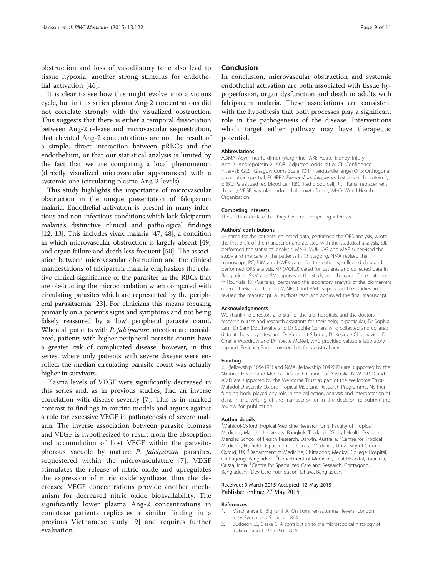<span id="page-8-0"></span>obstruction and loss of vasodilatory tone also lead to tissue hypoxia, another strong stimulus for endothelial activation [[46\]](#page-9-0).

It is clear to see how this might evolve into a vicious cycle, but in this series plasma Ang-2 concentrations did not correlate strongly with the visualized obstruction. This suggests that there is either a temporal dissociation between Ang-2 release and microvascular sequestration, that elevated Ang-2 concentrations are not the result of a simple, direct interaction between pRBCs and the endothelium, or that our statistical analysis is limited by the fact that we are comparing a local phenomenon (directly visualized microvascular appearances) with a systemic one (circulating plasma Ang-2 levels).

This study highlights the importance of microvascular obstruction in the unique presentation of falciparum malaria. Endothelial activation is present in many infectious and non-infectious conditions which lack falciparum malaria's distinctive clinical and pathological findings [[12](#page-9-0), [13\]](#page-9-0). This includes vivax malaria [\[47, 48\]](#page-9-0), a condition in which microvascular obstruction is largely absent [[49](#page-10-0)] and organ failure and death less frequent [\[50\]](#page-10-0). The association between microvascular obstruction and the clinical manifestations of falciparum malaria emphasizes the relative clinical significance of the parasites in the RBCs that are obstructing the microcirculation when compared with circulating parasites which are represented by the peripheral parasitaemia [\[23\]](#page-9-0). For clinicians this means focusing primarily on a patient's signs and symptoms and not being falsely reassured by a 'low' peripheral parasite count. When all patients with *P. falciparum* infection are considered, patients with higher peripheral parasite counts have a greater risk of complicated disease; however, in this series, where only patients with severe disease were enrolled, the median circulating parasite count was actually higher in survivors.

Plasma levels of VEGF were significantly decreased in this series and, as in previous studies, had an inverse correlation with disease severity [[7](#page-9-0)]. This is in marked contrast to findings in murine models and argues against a role for excessive VEGF in pathogenesis of severe malaria. The inverse association between parasite biomass and VEGF is hypothesized to result from the absorption and accumulation of host VEGF within the parasitophorous vacuole by mature *P. falciparum* parasites, sequestered within the microvasculature [\[7](#page-9-0)]. VEGF stimulates the release of nitric oxide and upregulates the expression of nitric oxide synthase, thus the decreased VEGF concentrations provide another mechanism for decreased nitric oxide bioavailability. The significantly lower plasma Ang-2 concentrations in comatose patients replicates a similar finding in a previous Vietnamese study [[9](#page-9-0)] and requires further evaluation.

## Conclusion

In conclusion, microvascular obstruction and systemic endothelial activation are both associated with tissue hypoperfusion, organ dysfunction and death in adults with falciparum malaria. These associations are consistent with the hypothesis that both processes play a significant role in the pathogenesis of the disease. Interventions which target either pathway may have therapeutic potential.

#### Abbreviations

ADMA: Asymmetric dimethylarginine; AKI: Acute kidney injury; Ang-2: Angiopoietin-2; AOR: Adjusted odds ratio; CI: Confidence interval; GCS: Glasgow Coma Scale; IQR: Interquartile range; OPS: Orthogonal polarization spectral; Pf HRP2: Plasmodium falciparum histidine-rich protein 2; pRBC: Parasitized red blood cell; RBC: Red blood cell; RRT: Renal replacement therapy; VEGF: Vascular endothelial growth factor; WHO: World Health Organization.

#### Competing interests

The authors declare that they have no competing interests.

#### Authors' contributions

JH cared for the patients, collected data, performed the OPS analysis, wrote the first draft of the manuscript and assisted with the statistical analysis. SJL performed the statistical analysis. MAH, MUH, AG and MAF supervised the study and the care of the patients in Chittagong. NMA revised the manuscript. PC, RJM and HWFK cared for the patients, collected data and performed OPS analysis. KP (MORU) cared for patients and collected data in Bangladesh. SKM and SM supervised the study and the care of the patients in Rourkela. KP (Menzies) performed the laboratory analysis of the biomarkers of endothelial function. NJW, NPJD and AMD supervised the studies and revised the manuscript. All authors read and approved the final manuscript.

#### Acknowledgements

We thank the directors and staff of the trial hospitals, and the doctors, research nurses and research assistants for their help; in particular, Dr Sophia Lam, Dr Sam Douthwaite and Dr Sophie Cohen, who collected and collated data at the study sites, and Dr Kamolrat Silamut, Dr Kesinee Chotinavich, Dr Charlie Woodrow and Dr Yvette McNeil, who provided valuable laboratory support. Federica Barzi provided helpful statistical advice.

#### Funding

JH (fellowship 1054195) and NMA (fellowship 1042072) are supported by the National Health and Medical Research Council of Australia. NJW, NPJD and AMD are supported by the Wellcome Trust as part of the Wellcome Trust-Mahidol University-Oxford Tropical Medicine Research Programme. Neither funding body played any role in the collection, analysis and interpretation of data, in the writing of the manuscript, or in the decision to submit the review for publication.

#### Author details

<sup>1</sup>Mahidol-Oxford Tropical Medicine Research Unit, Faculty of Tropical Medicine, Mahidol University, Bangkok, Thailand. <sup>2</sup>Global Health Division, Menzies School of Health Research, Darwin, Australia. <sup>3</sup>Centre for Tropical Medicine, Nuffield Department of Clinical Medicine, University of Oxford, Oxford, UK. <sup>4</sup>Department of Medicine, Chittagong Medical College Hospital, Chittagong, Bangladesh. <sup>5</sup>Department of Medicine, Ispat Hospital, Rourkela Orissa, India. <sup>6</sup>Centre for Specialized Care and Research, Chittagong, Bangladesh. <sup>7</sup> Dev Care Foundation, Dhaka, Bangladesh.

#### Received: 9 March 2015 Accepted: 12 May 2015 Published online: 27 May 2015

#### References

- 1. Marchiafava E, Bignami A. On summer-autumnal fevers. London: New Sydenham Society; 1894.
- 2. Dudgeon LS, Clarke C. A contribution to the microscopical histology of malaria. Lancet. 1917;190:153–6.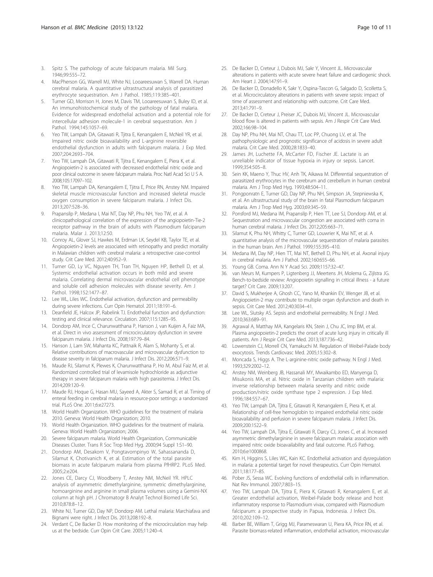- <span id="page-9-0"></span>3. Spitz S. The pathology of acute falciparum malaria. Mil Surg. 1946;99:555–72.
- 4. MacPherson GG, Warrell MJ, White NJ, Looareesuwan S, Warrell DA. Human cerebral malaria. A quantitative ultrastructural analysis of parasitized erythrocyte sequestration. Am J Pathol. 1985;119:385–401.
- 5. Turner GD, Morrison H, Jones M, Davis TM, Looareesuwan S, Buley ID, et al. An immunohistochemical study of the pathology of fatal malaria. Evidence for widespread endothelial activation and a potential role for intercellular adhesion molecule-1 in cerebral sequestration. Am J Pathol. 1994;145:1057–69.
- Yeo TW, Lampah DA, Gitawati R, Tjitra E, Kenangalem E, McNeil YR, et al. Impaired nitric oxide bioavailability and L-arginine reversible endothelial dysfunction in adults with falciparum malaria. J Exp Med. 2007;204:2693–704.
- Yeo TW, Lampah DA, Gitawati R, Tjitra E, Kenangalem E, Piera K, et al. Angiopoietin-2 is associated with decreased endothelial nitric oxide and poor clinical outcome in severe falciparum malaria. Proc Natl Acad Sci U S A. 2008;105:17097–102.
- 8. Yeo TW, Lampah DA, Kenangalem E, Tjitra E, Price RN, Anstey NM. Impaired skeletal muscle microvascular function and increased skeletal muscle oxygen consumption in severe falciparum malaria. J Infect Dis. 2013;207:528–36.
- 9. Prapansilp P, Medana I, Mai NT, Day NP, Phu NH, Yeo TW, et al. A clinicopathological correlation of the expression of the angiopoietin-Tie-2 receptor pathway in the brain of adults with Plasmodium falciparum malaria. Malar J. 2013;12:50.
- 10. Conroy AL, Glover SJ, Hawkes M, Erdman LK, Seydel KB, Taylor TE, et al. Angiopoietin-2 levels are associated with retinopathy and predict mortality in Malawian children with cerebral malaria: a retrospective case-control study. Crit Care Med. 2012;40:952–9.
- 11. Turner GD, Ly VC, Nguyen TH, Tran TH, Nguyen HP, Bethell D, et al. Systemic endothelial activation occurs in both mild and severe malaria. Correlating dermal microvascular endothelial cell phenotype and soluble cell adhesion molecules with disease severity. Am J Pathol. 1998;152:1477–87.
- 12. Lee WL, Liles WC. Endothelial activation, dysfunction and permeability during severe infections. Curr Opin Hematol. 2011;18:191–6.
- 13. Deanfield JE, Halcox JP, Rabelink TJ. Endothelial function and dysfunction: testing and clinical relevance. Circulation. 2007;115:1285–95.
- 14. Dondorp AM, Ince C, Charunwatthana P, Hanson J, van Kuijen A, Faiz MA, et al. Direct in vivo assessment of microcirculatory dysfunction in severe falciparum malaria. J Infect Dis. 2008;197:79–84.
- 15. Hanson J, Lam SW, Mahanta KC, Pattnaik R, Alam S, Mohanty S, et al. Relative contributions of macrovascular and microvascular dysfunction to disease severity in falciparum malaria. J Infect Dis. 2012;206:571–9.
- Maude RJ, Silamut K, Plewes K, Charunwatthana P, Ho M, Abul Faiz M, et al. Randomized controlled trial of levamisole hydrochloride as adjunctive therapy in severe falciparum malaria with high parasitemia. J Infect Dis. 2014;209:120–9.
- 17. Maude RJ, Hoque G, Hasan MU, Sayeed A, Akter S, Samad R, et al. Timing of enteral feeding in cerebral malaria in resource-poor settings: a randomized trial. PLoS One. 2011;6:e27273.
- 18. World Health Organization. WHO guidelines for the treatment of malaria 2010. Geneva: World Health Organization; 2010.
- 19. World Health Organization. WHO guidelines for the treatment of malaria. Geneva: World Health Organization; 2006.
- 20. Severe falciparum malaria. World Health Organization, Communicable Diseases Cluster. Trans R Soc Trop Med Hyg. 2000;94 Suppl 1:S1–90.
- 21. Dondorp AM, Desakorn V, Pongtavornpinyo W, Sahassananda D, Silamut K, Chotivanich K, et al. Estimation of the total parasite biomass in acute falciparum malaria from plasma PfHRP2. PLoS Med. 2005;2:e204.
- 22. Jones CE, Darcy CJ, Woodberry T, Anstey NM, McNeil YR. HPLC analysis of asymmetric dimethylarginine, symmetric dimethylarginine, homoarginine and arginine in small plasma volumes using a Gemini-NX column at high pH. J Chromatogr B Analyt Technol Biomed Life Sci. 2010;878:8–12.
- 23. White NJ, Turner GD, Day NP, Dondorp AM. Lethal malaria: Marchiafava and Bignami were right. J Infect Dis. 2013;208:192–8.
- 24. Verdant C, De Backer D. How monitoring of the microcirculation may help us at the bedside. Curr Opin Crit Care. 2005;11:240–4.
- 25. De Backer D, Creteur J, Dubois MJ, Sakr Y, Vincent JL. Microvascular alterations in patients with acute severe heart failure and cardiogenic shock. Am Heart J. 2004;147:91–9.
- 26. De Backer D, Donadello K, Sakr Y, Ospina-Tascon G, Salgado D, Scolletta S, et al. Microcirculatory alterations in patients with severe sepsis: impact of time of assessment and relationship with outcome. Crit Care Med. 2013;41:791–9.
- 27. De Backer D, Creteur J, Preiser JC, Dubois MJ, Vincent JL. Microvascular blood flow is altered in patients with sepsis. Am J Respir Crit Care Med. 2002;166:98–104.
- 28. Day NP, Phu NH, Mai NT, Chau TT, Loc PP, Chuong LV, et al. The pathophysiologic and prognostic significance of acidosis in severe adult malaria. Crit Care Med. 2000;28:1833–40.
- 29. James JH, Luchette FA, McCarter FD, Fischer JE. Lactate is an unreliable indicator of tissue hypoxia in injury or sepsis. Lancet. 1999;354:505–8.
- 30. Sein KK, Maeno Y, Thuc HV, Anh TK, Aikawa M. Differential sequestration of parasitized erythrocytes in the cerebrum and cerebellum in human cerebral malaria. Am J Trop Med Hyg. 1993;48:504–11.
- 31. Pongponratn E, Turner GD, Day NP, Phu NH, Simpson JA, Stepniewska K, et al. An ultrastructural study of the brain in fatal Plasmodium falciparum malaria. Am J Trop Med Hyg. 2003;69:345–59.
- 32. Ponsford MJ, Medana IM, Prapansilp P, Hien TT, Lee SJ, Dondorp AM, et al. Sequestration and microvascular congestion are associated with coma in human cerebral malaria. J Infect Dis. 2012;205:663–71.
- 33. Silamut K, Phu NH, Whitty C, Turner GD, Louwrier K, Mai NT, et al. A quantitative analysis of the microvascular sequestration of malaria parasites in the human brain. Am J Pathol. 1999;155:395–410.
- 34. Medana IM, Day NP, Hien TT, Mai NT, Bethell D, Phu NH, et al. Axonal injury in cerebral malaria. Am J Pathol. 2002;160:655–66.
- 35. Young GB. Coma. Ann N Y Acad Sci. 2009;1157:32–47.
- 36. van Meurs M, Kumpers P, Ligtenberg JJ, Meertens JH, Molema G, Zijlstra JG. Bench-to-bedside review: Angiopoietin signalling in critical illness - a future target? Crit Care. 2009;13:207.
- 37. David S, Mukherjee A, Ghosh CC, Yano M, Khankin EV, Wenger JB, et al. Angiopoietin-2 may contribute to multiple organ dysfunction and death in sepsis. Crit Care Med. 2012;40:3034–41.
- 38. Lee WL, Slutsky AS. Sepsis and endothelial permeability. N Engl J Med. 2010;363:689–91.
- 39. Agrawal A, Matthay MA, Kangelaris KN, Stein J, Chu JC, Imp BM, et al. Plasma angiopoietin-2 predicts the onset of acute lung injury in critically ill patients. Am J Respir Crit Care Med. 2013;187:736–42.
- 40. Lowenstein CJ, Morrell CN, Yamakuchi M. Regulation of Weibel-Palade body exocytosis. Trends Cardiovasc Med. 2005;15:302–8.
- 41. Moncada S, Higgs A. The L-arginine-nitric oxide pathway. N Engl J Med. 1993;329:2002–12.
- 42. Anstey NM, Weinberg JB, Hassanali MY, Mwaikambo ED, Manyenga D, Misukonis MA, et al. Nitric oxide in Tanzanian children with malaria: inverse relationship between malaria severity and nitric oxide production/nitric oxide synthase type 2 expression. J Exp Med. 1996;184:557–67.
- 43. Yeo TW, Lampah DA, Tjitra E, Gitawati R, Kenangalem E, Piera K, et al. Relationship of cell-free hemoglobin to impaired endothelial nitric oxide bioavailability and perfusion in severe falciparum malaria. J Infect Dis. 2009;200:1522–9.
- 44. Yeo TW, Lampah DA, Tjitra E, Gitawati R, Darcy CJ, Jones C, et al. Increased asymmetric dimethylarginine in severe falciparum malaria: association with impaired nitric oxide bioavailability and fatal outcome. PLoS Pathog. 2010;6:e1000868.
- 45. Kim H, Higgins S, Liles WC, Kain KC. Endothelial activation and dysregulation in malaria: a potential target for novel therapeutics. Curr Opin Hematol. 2011;18:177–85.
- 46. Pober JS, Sessa WC. Evolving functions of endothelial cells in inflammation. Nat Rev Immunol. 2007;7:803–15.
- 47. Yeo TW, Lampah DA, Tjitra E, Piera K, Gitawati R, Kenangalem E, et al. Greater endothelial activation, Weibel-Palade body release and host inflammatory response to Plasmodium vivax, compared with Plasmodium falciparum: a prospective study in Papua, Indonesia. J Infect Dis. 2010;202:109–12.
- 48. Barber BE, William T, Grigg MJ, Parameswaran U, Piera KA, Price RN, et al. Parasite biomass-related inflammation, endothelial activation, microvascular